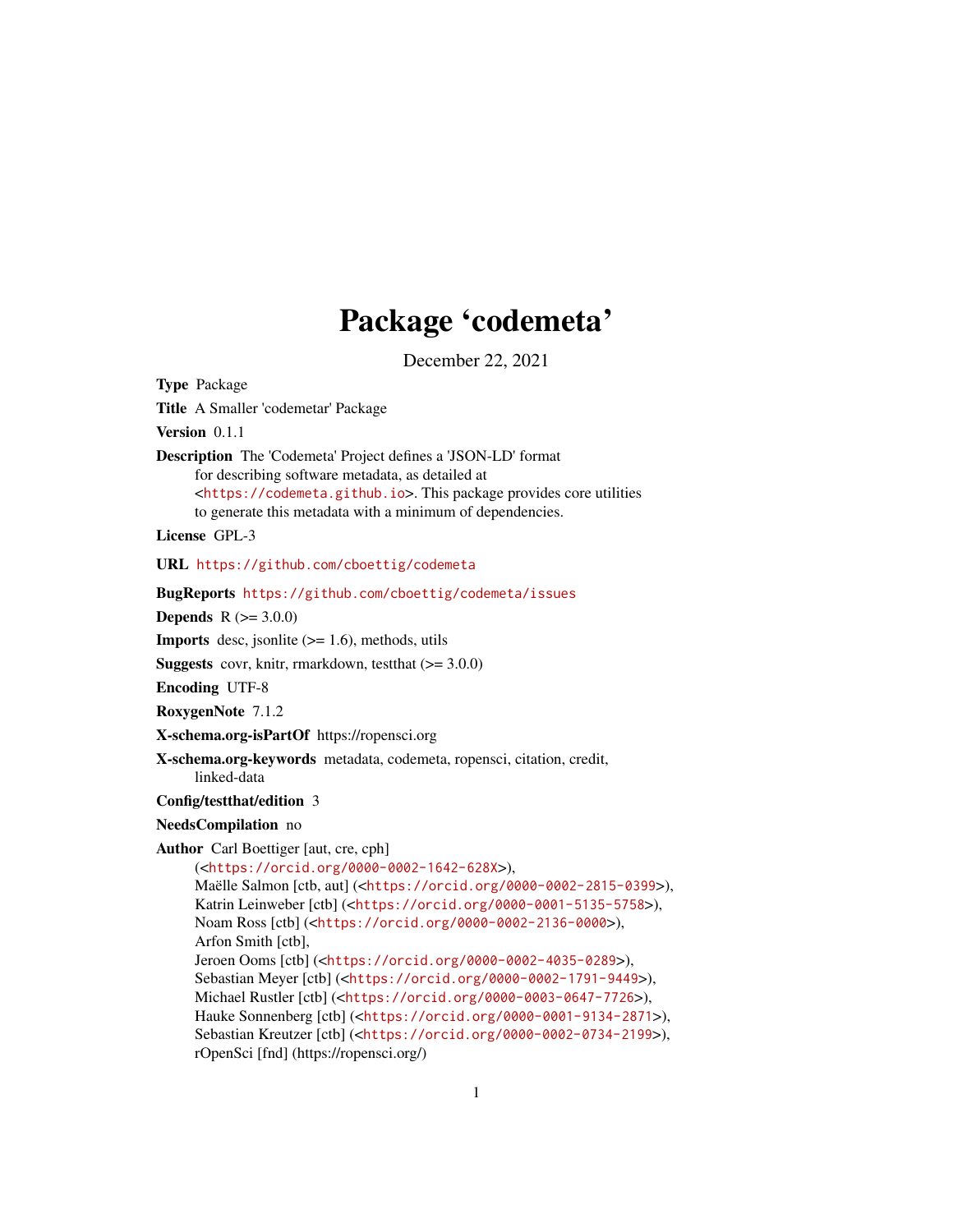## Package 'codemeta'

December 22, 2021

Type Package Title A Smaller 'codemetar' Package Version 0.1.1 Description The 'Codemeta' Project defines a 'JSON-LD' format for describing software metadata, as detailed at <<https://codemeta.github.io>>. This package provides core utilities to generate this metadata with a minimum of dependencies. License GPL-3 URL <https://github.com/cboettig/codemeta> BugReports <https://github.com/cboettig/codemeta/issues> **Depends**  $R (= 3.0.0)$ **Imports** desc, jsonlite  $(>= 1.6)$ , methods, utils **Suggests** covr, knitr, rmarkdown, test that  $(>= 3.0.0)$ Encoding UTF-8 RoxygenNote 7.1.2 X-schema.org-isPartOf https://ropensci.org X-schema.org-keywords metadata, codemeta, ropensci, citation, credit, linked-data Config/testthat/edition 3 NeedsCompilation no Author Carl Boettiger [aut, cre, cph] (<<https://orcid.org/0000-0002-1642-628X>>), Maëlle Salmon [ctb, aut] (<<https://orcid.org/0000-0002-2815-0399>>), Katrin Leinweber [ctb] (<<https://orcid.org/0000-0001-5135-5758>>), Noam Ross [ctb] (<<https://orcid.org/0000-0002-2136-0000>>), Arfon Smith [ctb], Jeroen Ooms [ctb] (<<https://orcid.org/0000-0002-4035-0289>>), Sebastian Meyer [ctb] (<<https://orcid.org/0000-0002-1791-9449>>), Michael Rustler [ctb] (<<https://orcid.org/0000-0003-0647-7726>>), Hauke Sonnenberg [ctb] (<<https://orcid.org/0000-0001-9134-2871>>), Sebastian Kreutzer [ctb] (<<https://orcid.org/0000-0002-0734-2199>>), rOpenSci [fnd] (https://ropensci.org/)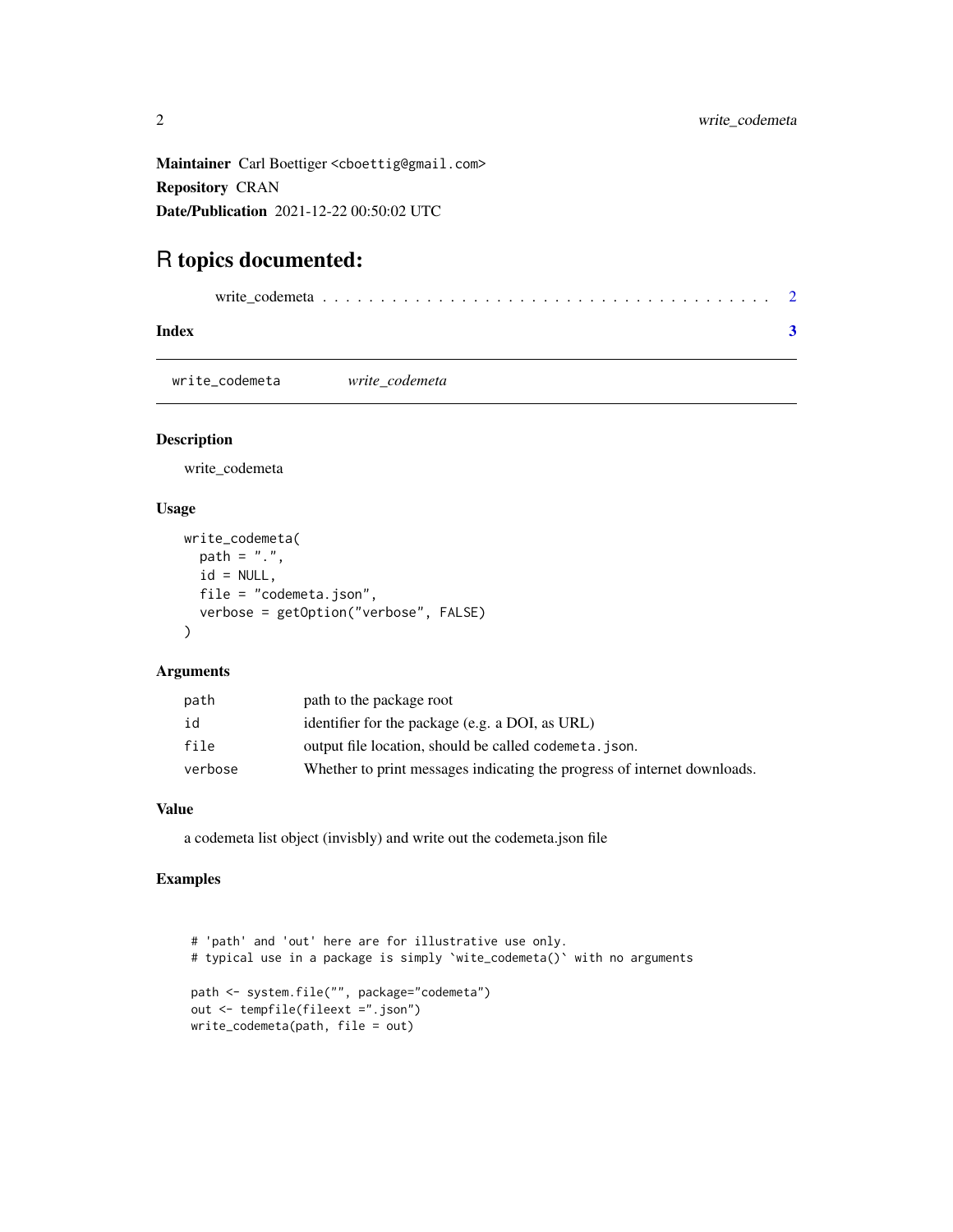<span id="page-1-0"></span>Maintainer Carl Boettiger <cboettig@gmail.com> Repository CRAN Date/Publication 2021-12-22 00:50:02 UTC

### R topics documented:

| Index |  |
|-------|--|

write\_codemeta *write\_codemeta*

#### Description

write\_codemeta

#### Usage

```
write_codemeta(
 path = ".'',id = NULL,file = "codemeta.json",
 verbose = getOption("verbose", FALSE)
)
```
#### Arguments

| path    | path to the package root                                                 |
|---------|--------------------------------------------------------------------------|
| id      | identifier for the package (e.g. a DOI, as URL)                          |
| file    | output file location, should be called codemeta. json.                   |
| verbose | Whether to print messages indicating the progress of internet downloads. |

#### Value

a codemeta list object (invisbly) and write out the codemeta.json file

#### Examples

```
# 'path' and 'out' here are for illustrative use only.
# typical use in a package is simply `wite_codemeta()` with no arguments
path <- system.file("", package="codemeta")
out <- tempfile(fileext =".json")
write_codemeta(path, file = out)
```